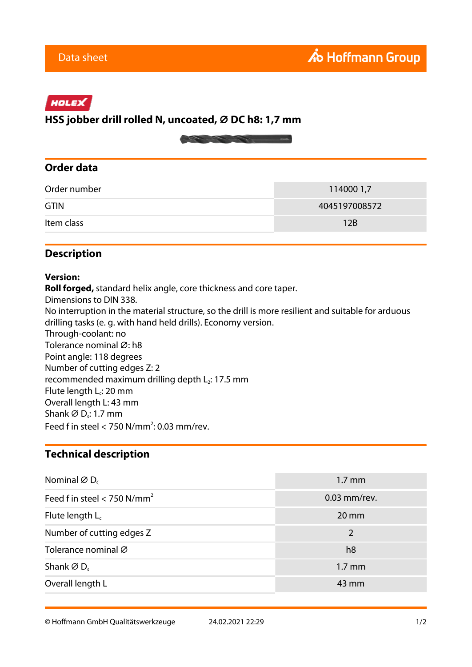# HOLEX

# **HSS jobber drill rolled N, uncoated, ⌀ DC h8: 1,7 mm**



#### **Order data**

| Order number | 114000 1,7    |
|--------------|---------------|
| <b>GTIN</b>  | 4045197008572 |
| Item class   | 12B           |

### **Description**

#### **Version:**

**Roll forged,** standard helix angle, core thickness and core taper. Dimensions to DIN 338. No interruption in the material structure, so the drill is more resilient and suitable for arduous drilling tasks (e. g. with hand held drills). Economy version. Through-coolant: no Tolerance nominal Ø: h8 Point angle: 118 degrees Number of cutting edges Z: 2 recommended maximum drilling depth  $L_2$ : 17.5 mm Flute length L<sub>c</sub>: 20 mm Overall length L: 43 mm Shank  $\varnothing$  D<sub>s</sub>: 1.7 mm Feed f in steel  $<$  750 N/mm<sup>2</sup>: 0.03 mm/rev.

#### **Technical description**

| Nominal $\varnothing$ D <sub>c</sub> | $1.7 \text{ mm}$  |
|--------------------------------------|-------------------|
| Feed f in steel < 750 $N/mm^2$       | $0.03$ mm/rev.    |
| Flute length $L_c$                   | $20 \, \text{mm}$ |
| Number of cutting edges Z            | 2                 |
| Tolerance nominal Ø                  | h8                |
| Shank $\varnothing$ D.               | $1.7 \text{ mm}$  |
| Overall length L                     | 43 mm             |

© Hoffmann GmbH Qualitätswerkzeuge 24.02.2021 22:29 1/2